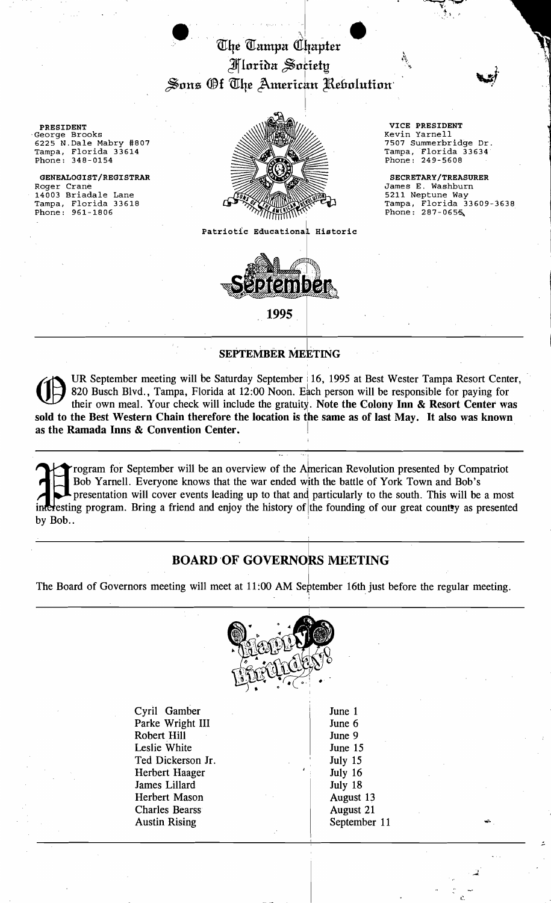

PRESIDENT

 $6225$  N.Dale Mabry #807 Tampa, Florida 33614<br>Phone: 348-0154



Patriotic Educational Historic



1995

# **SEPTEMBER MEETING**

UR September meeting will be Saturday September: 16, 1995 at Best Wester Tampa Resort Center, 820 Busch Blvd., Tampa, Florida at 12:00 Noon. Each person will be responsible for paying for their own meal. Your check will include the gratuity. Note the Colony Inn & Resort Center was sold to the Best Western Chain therefore the location is the same as of last May. It also was known as the Ramada Inns & Convention Center. !

I rogram for September will be an overview of the American Revolution presented by Compatriot Bob Yarnell. Everyone knows that the war ended with the battle of York Town and Bob's presentation will cover events leading up . presentation will cover events leading up to that and particularly to the south. This will be a most ince resting program. Bring a friend and enjoy the history of the founding of our great country as presented by Bob.. .

#### BOARD 'OF GOVERNOkS MEETING

I

The Board of Governors meeting will meet at 11:00 AM September 16th just before the regular meeting.



Cyril Gamber Parke Wright III Robert Hill Leslie White Ted Dickerson Jr. Herbert Haager James Lillard Herbert Mason Charles Bearss Austin Rising

June 1 June 6 June 9 June 15 July 15 July 16 July 18 August 13 August 21 September 11

> .- .,

L.

VICE PRESIDENT Tampa, Florida 33634<br>Phone: 249-5608

..~-.-' ·.l :- \ ,I

> $\cdot$  1. ,

Phone:  $287-065$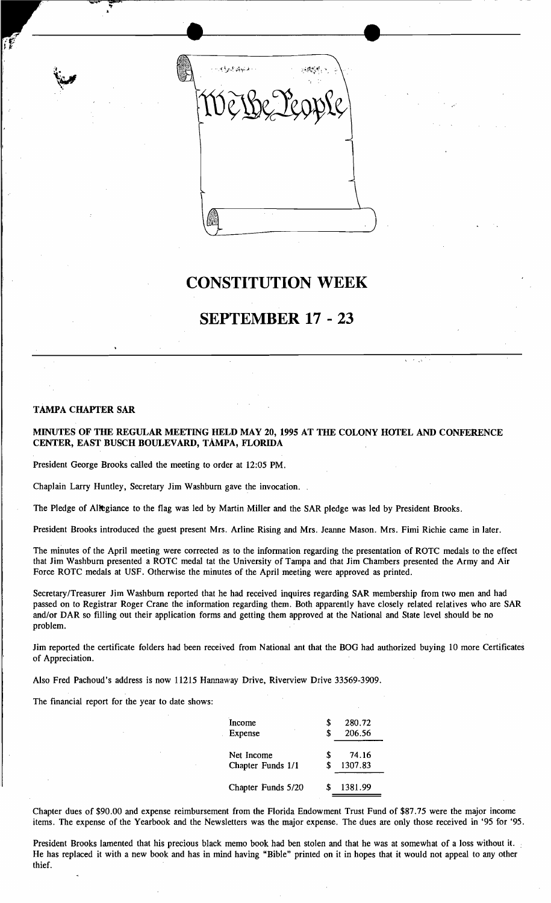

## **CONSTITUTION WEEK**

## **SEPTEMBER 17 - 23**

#### TAMPA CHAPTER SAR

., •

MINUTES OF THE REGULAR MEETING HELD MAY 20, 1995 AT THE COLONY HOTEL AND CONFERENCE CENTER, EAST BUSCH BOULEVARD, TAMPA, FLORIDA

President George Brooks called the meeting to order at 12:05 PM.

Chaplain Larry Huntley, Secretary Jim Washburn gave the invocation.

The Pledge of Allegiance to the flag was led by Martin Miller and the SAR pledge was led by President Brooks.

President Brooks introduced the guest present Mrs. Arline Rising and Mrs. Jeanne Mason. Mrs. Fimi Richie came in later.

The minutes of the April meeting were corrected as to the information regarding the presentation of ROTC medals to the effect that Jim Washburn presented a ROTC medal tat the University of Tampa and that Jim Chambers presented the Army and Air Force ROTC medals at USF. Otherwise the minutes of the April meeting were approved as printed.

Secretary/Treasurer Jim Washburn reported that he had received inquires regarding SAR membership from two men and had passed on to Registrar Roger Crane the information regarding them. Both apparently have closely related relatives who are SAR and/or DAR so filling out their application forms and getting them approved at the National and State level should be no problem.

Jim reported the certificate folders had been received from National ant that the BOG had authorized buying 10 more Certificates of Appreciation.

Also Fred Pachoud's address is now 11215 Hannaway Drive, Riverview Drive 33569-3909.

The financial report for the year to date shows:

| Income             | S  | 280.72  |
|--------------------|----|---------|
| Expense            | \$ | 206.56  |
| Net Income         | S  | 74.16   |
| Chapter Funds 1/1  | \$ | 1307.83 |
| Chapter Funds 5/20 | S. | 1381.99 |

Chapter dues of \$90.00 and expense reimbursement from the Florida Endowment Trust Fund of \$87.75 were the major income items. The expense of the Yearbook and the Newsletters was the major expense. The dues are only those received in '95 for '95.

President Brooks lamented that his precious black memo book had ben stolen and that he was at somewhat of a loss without it. He has replaced it with a new book and has in mind having "Bible" printed on it in hopes that it would not appeal to any other thief.